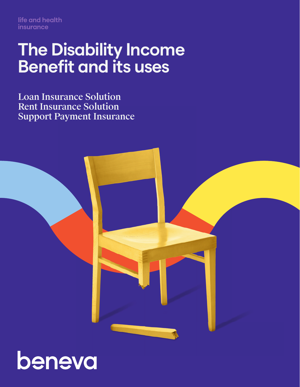**life and health insurance**

## **The Disability Income Benefit and its uses**

Loan Insurance Solution Rent Insurance Solution Support Payment Insurance



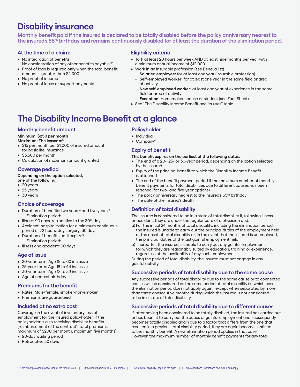## **Disability insurance**

**Monthly benefit paid if the insured is declared to be totally disabled before the policy anniversary nearest to the insured's 65th birthday and remains continuously disabled for at least the duration of the elimination period.**

#### **At the time of a claim:**

- No integration of benefits:
- No consideration of any other benefits payable<sup>1,2</sup> • Proof of loan is required **only** when the total benefit
- amount is greater than \$2,0001
- No proof of income
- No proof of lease or support payments

#### **Eligibility criteria**

- Tork at least 20 hours per week AND at least nine months per year with a minimum annual income of \$12,000
- Work in an insurable profession (see Beneva list)
	- **Salaried employee:** for at least one year (insurable profession)
	- **Self-employed worker:** for at least one year in the same field or area of activity
	- **New self-employed worker:** at least one year of experience in the same field or area of activity
- **Exception:** Homemaker spouse or student (see Fact Sheet)
- See "The Disability Income Benefit and its uses" table

## **The Disability Income Benefit at a glance**

#### **Monthly benefit amount**

#### **Minimum: \$250 per month**

**Maximum: The lesser of:**

- \$15 per month per \$1,000 of insured amount for basic life insurance
- \$3,500 per month
- Calculation of maximum amount granted

#### **Coverage pediod**

#### **Depending on the option selected,**

- **one of the following:**
- 20 years
- 25 years
- 30 years

#### **Choice of coverage**

- Duration of benefits: two years<sup>3</sup> and five years: $3$ – Elimination period:
- $\bullet$  Illness: 90 days, retroactive to the 30<sup>th</sup> day
- Accident, hospitalization for a minimum continuous period of 72 hours, day surgery: 30 days
- Duration of benefits until expiry:<sup>3</sup> – Elimination period:
- Illness and accident: 90 days

#### **Age at issue**

- 20-year term: Age 18 to 60 inclusive
- 25-year term: Age 18 to 44 inclusive
- 30-year term: Age 18 to 39 inclusive
- Age at nearest birthday

#### **Premiums for the benefit**

- Rates: Male/female, smoker/non-smoker
- Premiums are guaranteed

#### **Included at no extra cost**

Coverage in the event of involuntary loss of employment for the insured policyholder, if the policyholder is also receiving disability benefits (reimbursement of the contract's total premiums, maximum of \$200 per month, maximum five months).

- 90-day waiting period
- Retroactive 30 days

#### **Policyholder**

- Individual
- Company<sup>4</sup>

#### **Expiry of benefit**

#### **This benefit expires on the earliest of the following dates:**

- The end of a 20-, 25- or 30-year period, depending on the option selected by the insured
- Expiry of the principal benefit to which the Disability Income Benefit is attached
- The end of the benefit payment period if the maximum number of monthly benefit payments for total disabilities due to different causes has been reached (for two- and five-year options)
- The policy anniversary nearest to the insured's 65<sup>th</sup> birthday
- The date of the insured's death

#### **Definition of total disability**

The insured is considered to be in a state of total disability if, following illness or accident, they are under the regular care of a physician and:

- a) For the initial 24 months of total disability, including the elimination period, the insured is unable to carry out the principal duties of the employment held at the onset of total disability or, in the event that the insured is unemployed, the principal duties of the last gainful employment held;
- b) Thereafter, the insured is unable to carry out any gainful employment for which they are reasonably suited by education, training or experience, regardless of the availability of any such employment.

During the period of total disability, the insured must not engage in any gainful activity.

#### **Successive periods of total disability due to the same cause**

Any successive periods of total disability due to the same cause or to connected causes will be considered as the same period of total disability (in which case the elimination period does not apply again), except when separated by more than three consecutive months during which the insured is not considered to be in a state of total disability.

#### **Successive periods of total disability due to different causes**

If, after having been considered to be totally disabled, the insured has carried out or has been fit to carry out the duties of gainful employment and subsequently becomes totally disabled again due to a factor that differs from the one that resulted in a previous total disability period, they are again becomes entitled to the monthly benefit. A new elimination period applies in that case. However, the maximum number of monthly benefit payments for any total.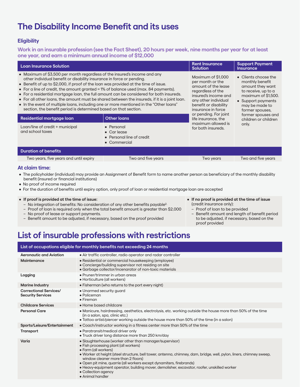## **The Disability Income Benefit and its uses**

#### **Eligibility**

**Work in an insurable profession (see the Fact Sheet), 20 hours per week, nine months per year for at least one year, and earn a minimum annual income of \$12,000**

| <b>Loan Insurance Solution</b>                                                                                                                                                                                                                                                                                                                                                                                                                                                                                                                                                                                                                                                             |                                                                               | <b>Rent Insurance</b><br><b>Solution</b>                                                                                                                                          | <b>Support Payment</b><br><b>Insurance</b>                                                                                                                           |
|--------------------------------------------------------------------------------------------------------------------------------------------------------------------------------------------------------------------------------------------------------------------------------------------------------------------------------------------------------------------------------------------------------------------------------------------------------------------------------------------------------------------------------------------------------------------------------------------------------------------------------------------------------------------------------------------|-------------------------------------------------------------------------------|-----------------------------------------------------------------------------------------------------------------------------------------------------------------------------------|----------------------------------------------------------------------------------------------------------------------------------------------------------------------|
| • Maximum of \$3,500 per month regardless of the insured's income and any<br>other individual benefit or disability insurance in force or pending.<br>• Benefit of up to \$2,000, if proof of the loan was provided at the time of issue.<br>• For a line of credit, the amount granted = 1% of balance used (max. 84 payments).<br>• For a residential mortgage loan, the full amount can be considered for both insureds.<br>• For all other loans, the amount must be shared between the insureds, if it is a joint loan.<br>• In the event of multiple loans, including one or more mentioned in the "Other loans"<br>section, the benefit period is determined based on that section. |                                                                               | Maximum of \$1,000<br>per month or the<br>amount of the lease<br>regardless of the<br>insured's income and<br>any other individual<br>benefit or disability<br>insurance in force | • Clients choose the<br>monthly benefit<br>amount they want<br>to receive, up to a<br>maximum of \$1,500.<br>• Support payments<br>may be made to<br>former spouses. |
| Residential mortgage loan                                                                                                                                                                                                                                                                                                                                                                                                                                                                                                                                                                                                                                                                  | <b>Other loans</b>                                                            | or pending. For joint<br>life insurance, the                                                                                                                                      | former spouses and<br>children or children                                                                                                                           |
|                                                                                                                                                                                                                                                                                                                                                                                                                                                                                                                                                                                                                                                                                            |                                                                               |                                                                                                                                                                                   |                                                                                                                                                                      |
| Loan/line of credit + municipal<br>and school taxes                                                                                                                                                                                                                                                                                                                                                                                                                                                                                                                                                                                                                                        | • Personal<br>$\bullet$ Carlease<br>• Personal line of credit<br>• Commercial | maximum allowed is<br>for both insureds.                                                                                                                                          | only.                                                                                                                                                                |
| <b>Duration of benefits</b>                                                                                                                                                                                                                                                                                                                                                                                                                                                                                                                                                                                                                                                                |                                                                               |                                                                                                                                                                                   |                                                                                                                                                                      |

#### **At claim time:**

- The policyholder (individual) may provide an Assignment of Benefit form to name another person as beneficiary of the monthly disability benefit (insured or financial institutions)
- No proof of income required
- For the duration of benefits until expiry option, only proof of loan or residential mortgage loan are accepted
- **• If proof is provided at the time of issue:** 
	- No integration of benefits: No consideration of any other benefits payable2.
	- Proof of loan is required only when the total benefit amount is greater than \$2,000
	- No proof of lease or support payments.
	- Benefit amount to be adjusted, if necessary, based on the proof provided
- **• If no proof is provided at the time of issue**  (credit insurance only):
- Proof of loan to be provided
- Benefit amount and length of benefit period to be adjusted, if necessary, based on the proof provided

## **List of insurable professions with restrictions**

| List of occupations eligible for monthly benefits not exceeding 24 months |                                                                                                                                                                                                                                                                                                                                                                                                                                                                                                         |  |
|---------------------------------------------------------------------------|---------------------------------------------------------------------------------------------------------------------------------------------------------------------------------------------------------------------------------------------------------------------------------------------------------------------------------------------------------------------------------------------------------------------------------------------------------------------------------------------------------|--|
| <b>Aeronautic and Aviation</b>                                            | • Air traffic controller, radio operator and radar controller                                                                                                                                                                                                                                                                                                                                                                                                                                           |  |
| <b>Maintenance</b>                                                        | • Residential or commercial housekeeping (employee)<br>• Concierge/building supervisor not residing on site<br>• Garbage collector/incenarator of non-toxic materials                                                                                                                                                                                                                                                                                                                                   |  |
| Logging                                                                   | • Pruner/trimmer in urban greas<br>• Horticulture (all workers)                                                                                                                                                                                                                                                                                                                                                                                                                                         |  |
| <b>Marine Industry</b>                                                    | • Fisherman (who returns to the port every night)                                                                                                                                                                                                                                                                                                                                                                                                                                                       |  |
| <b>Correctional Services/</b><br><b>Security Services</b>                 | • Unarmed security guard<br>• Policeman<br>$\bullet$ Fireman                                                                                                                                                                                                                                                                                                                                                                                                                                            |  |
| <b>Childcare Services</b>                                                 | • Home based childcare                                                                                                                                                                                                                                                                                                                                                                                                                                                                                  |  |
| <b>Personal Care</b>                                                      | • Manicure, hairdressing, aesthetics, electrolysis, etc. working outside the house more than 50% of the time<br>(in a salon, spa, clinic etc.)<br>• Tattoo artist/piercer working outside the house more than 50% of the time (in a salon)                                                                                                                                                                                                                                                              |  |
| Sports/Leisure/Entertainment                                              | • Coach/instructor working in a fitness center more than 50% of the time                                                                                                                                                                                                                                                                                                                                                                                                                                |  |
| <b>Transport</b>                                                          | • Paratransit/medical driver only<br>• Truck driver long distance more than 250 km/day                                                                                                                                                                                                                                                                                                                                                                                                                  |  |
| Varia                                                                     | • Slaughterhouse (worker other than manager/supervisor)<br>• Fish processing plant (all workers)<br>• Farm (all workers)<br>· Worker at height (steel structure, bell tower, antenna, chimney, dam, bridge, well, pylon, liners, chimney sweep,<br>window cleaner more than 2 floors)<br>• Open pit mine, quarrie (all workers except dynamiters, firebrands)<br>• Heavy-equipment operator, building mover, demolisher, excavator, roofer, unskilled worker<br>• Collection agency<br>• Animal handler |  |